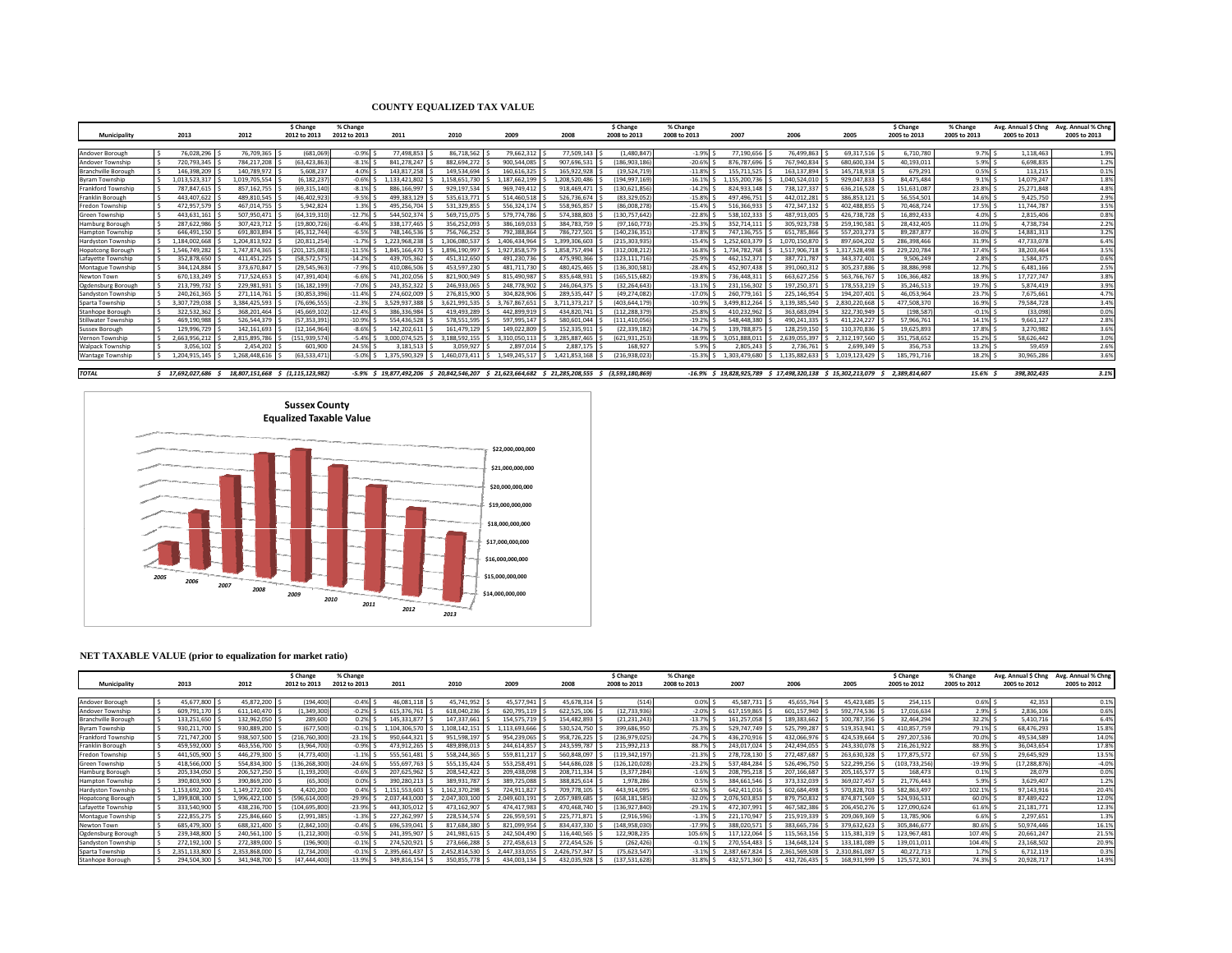## **COUNTY EQUALIZED TAX VALUE**

|                            |                |                | \$ Change         | % Change     |               |                                                                               |               |               | \$ Change       | % Change     |               |                                                              |               | \$ Change     | % Change     | Avg. Annual \$ Chng | Avg. Annual % Chng |
|----------------------------|----------------|----------------|-------------------|--------------|---------------|-------------------------------------------------------------------------------|---------------|---------------|-----------------|--------------|---------------|--------------------------------------------------------------|---------------|---------------|--------------|---------------------|--------------------|
| Municipality               | 2013           | 2012           | 2012 to 2013      | 2012 to 2013 | 2011          | 2010                                                                          | 2009          | 2008          | 2008 to 2013    | 2008 to 2013 | 2007          | 2006                                                         | 2005          | 2005 to 2013  | 2005 to 2013 | 2005 to 2013        | 2005 to 2013       |
|                            |                |                |                   |              |               |                                                                               |               |               |                 |              |               |                                                              |               |               |              |                     |                    |
| Andover Borough            | 76.028.296     | 76.709.365     | (681.069          | $-0.9%$      | 77.498.853    | 86.718.562                                                                    | 79.662.312    | 77,509.143    | (1.480.847)     | $-1.9%$      | 77.190.656    | 76.499.863                                                   | 69.317.516    | 6,710,780     | 9.7%         | 1.118.463           | 1.9%               |
| Andover Township           | 720,793,345    | 784,217,208    | (63, 423, 86)     | $-8.1%$      | 841.278.247   | 882.694.272                                                                   | 900.544.085   | 907,696,531   | (186,903,186    | $-20.6%$     | 876.787.696   | 767.940.834                                                  | 680,600,334   | 40.193.011    | 5.9%         | 6.698.835           | 1.2%               |
| <b>Branchville Borough</b> | 146.398.209    | 140.789.972    | 5.608.237         | 4.0%         | 143.817.258   | 149.534.694                                                                   | 160.616.325   | 165.922.928   | (19.524.719     | $-11.8%$     | 155.711.525   | 163.137.894                                                  | 145.718.918   | 679.291       | 0.5%         | 113,215             | 0.1%               |
| Byram Township             | 1,013,523,317  | 1,019,705,554  | (6, 182, 237)     | $-0.6%$      | 1.133.421.802 | 158.651.730                                                                   | 1.187.662.199 | 1.208.520.486 | (194,997,169    | $-16.1%$     | 1.155.200.73  | 1.040.524.010                                                | 929.047.833   | 84.475.484    | 9.1%         | 14,079,247          | 1.8%               |
| Frankford Township         | 787,847,615    | 857,162,755    | (69, 315, 140)    | $-8.1%$      | 886,166,997   | 929,197,534                                                                   | 969,749,412   | 918,469,471   | (130,621,856    | $-14.2%$     | 824,933,148   | 738,127,337                                                  | 636,216,528   | 151,631,08    | 23.8%        | 25,271,848          | 4.8%               |
| Franklin Borough           | 443,407,622    | 489,810,545    | (46, 402, 92)     | $-9.5%$      | 499,383,129   | 535,613,771                                                                   | 514,460,518   | 526,736,674   | (83,329,052     | $-15.8%$     | 497,496,75    | 442.012.281                                                  | 386,853,121   | 56,554,50     | 14.6%        | 9.425.750           | 2.9%               |
| Fredon Township            | 472,957,579    | 467,014,755    | 5.942.824         | 1.3%         | 495.256.704   | 531.329.855                                                                   | 556.324.174   | 558.965.857   | (86,008,278     | $-15.4%$     | 516.366.933   | 472.347.132                                                  | 402.488.855   | 70.468.724    | 17.5%        | 11.744.787          | 3.5%               |
| Green Township             | 443,631,161    | 507,950,47     | (64, 319, 310)    | $-12.7%$     | 544,502,374   | 569,715,075                                                                   | 579,774,786   | 574,388,803   | 130,757,642     | $-22.8%$     | 538,102,333   | 487,913,005                                                  | 426,738,728   | 16,892,433    | 4.0%         | 2,815,406           | 0.8%               |
| Hamburg Borough            | 287.622.986    | 307.423.712    | (19.800.726       | $-6.4%$      | 338.177.465   | 356.252.093                                                                   | 386,169,033   | 384,783,759   | (97.160.773     | $-25.3%$     | 352.714.11:   | 305.923.738                                                  | 259,190.581   | 28.432.405    | 11.0%        | 4.738.734           | 2.2%               |
| <b>Hampton Township</b>    | 646.491.150    | 691.803.894    | (45.312.744       | $-6.5%$      | 748.146.536   | 756.766.252                                                                   | 792.388.864   | 786.727.501   | (140.236.351    | $-17.8%$     | 747.136.755   | 651.785.866                                                  | 557.203.273   | 89.287.877    | 16.0%        | 14.881.313          | 3.2%               |
| <b>Hardyston Townshir</b>  | 1.184.002.668  | 1.204.813.922  | (20.811.254       | $-1.7%$      | 1.223.968.238 | .306.080.537                                                                  | 1.406.434.964 | 1.399.306.603 | (215.303.935)   | $-15.4%$     | 1.252.603.379 | 1.070.150.870                                                | 897.604.202   | 286.398.466   | 31.9%        | 47.733.078          | 6.4%               |
| <b>Hopatcong Borough</b>   | 1.546.749.282  | 1.747.874.365  | (201,125,08       | $-11.5%$     | 1.845.166.470 | 1.896.190.997                                                                 | 1.927.858.579 | 1.858.757.494 | 312.008.212     | $-16.8%$     | 1.734.782.768 | 1.517.906.718                                                | 1.317.528.498 | 229.220.78    | 17.4%        | 38.203.464          | 3.5%               |
| Lafavette Township         | 352.878.650    | 411.451.225    | (58.572.57)       | $-14.2%$     | 439.705.362   | 451.312.650                                                                   | 491.230.736   | 475.990.366   | (123.111.716    | $-25.9%$     | 462.152.37    | 387.721.787                                                  | 343.372.401   | 9.506.249     | 2.8%         | 1.584.375           | 0.6%               |
| Montague Township          | 344.124.884    | 373.670.847    | (29.545.96)       | $-7.9%$      | 410.086.506   | 453.597.230                                                                   | 481.711.730   | 480.425.465   | (136,300.58)    | $-28.4%$     | 452.907.438   | 391.060.312                                                  | 305.237.886   | 38,886,998    | 12.7%        | 6.481.166           | 2.5%               |
| Newton Town                | 670.133.249    | 717,524,653    | (47,391,404       | $-6.6%$      | 741.202.056   | 821.900.949                                                                   | 815.490.987   | 835.648.931   | (165.515.68)    | $-19.8%$     | 736.448.31    | 663.627.256                                                  | 563.766.767   | 106.366.482   | 18.9%        | 17.727.747          | 3.8%               |
| Ogdensburg Borough         | 213.799.732    | 229.981.931    | (16.182.199       | $-7.0%$      | 243.352.322   | 246.933.065                                                                   | 248.778.902   | 246.064.375   | (32.264.643     | $-13.1%$     | 231.156.302   | 197.250.371                                                  | 178.553.219   | 35.246.513    | 19.7%        | 5.874.419           | 3.9%               |
| Sandyston Township         | 240.261.365    | 271.114.761    | (30.853.396       | $-11.4%$     | 274.602.009   | 276.815.900                                                                   | 304.828.906   | 289.535.447   | (49.274.082     | $-17.0%$     | 260.779.16    | 225.146.954                                                  | 194.207.401   | 46.053.96     | 23.7%        | 7.675.661           | 4.7%               |
| Sparta Township            | 3,307,729,038  | 3.384.425.593  | (76.696.555       | $-2.3%$      | 3.529.937.388 | 3.621.991.535                                                                 | 3.767.867.651 | 3.711.373.217 | (403.644.179    | $-10.9%$     | 3.499.812.264 | 3.139.385.540                                                | 2.830.220.668 | 477.508.370   | 16.9%        | 79.584.728          | 3.4%               |
| Stanhope Borough           | 322,532,362    | 368.201.464    | (45,669,102       | $-12.4%$     | 386.336.984   | 419.493.289                                                                   | 442.899.919   | 434.820.741   | 112.288.379     | $-25.8%$     | 410.232.962   | 363,683,094                                                  | 322,730,949   | (198.587      | $-0.1%$      | (33.098)            | 0.0%               |
| Stillwater Township        | 469,190,988    | 526,544,379    | (57, 353, 391)    | $-10.9%$     | 554,436,528   | 578,551,595                                                                   | 597,995,147   | 580,601,044   | (111,410,056    | $-19.2%$     | 548.448.380   | 490.241.335                                                  | 411.224.227   | 57,966,761    | 14.1%        | 9.661.127           | 2.8%               |
| Sussex Borough             | 129,996,729    | 142,161,693    | (12,164,964       | $-8.6%$      | 142.202.611   | 161.479.129                                                                   | 149.022.809   | 152.335.911   | (22,339,182     | $-14.7%$     | 139,788.87    | 128.259.150                                                  | 110.370.836   | 19.625.893    | 17.8%        | 3.270.982           | 3.6%               |
| Vernon Township            | 2.663.956.212  | 2.815.895.786  | (151.939.574      | $-5.4%$      | 3.000.074.525 | 3.188.592.155                                                                 | 3.310.050.113 | 3.285.887.465 | (621.931.253)   | $-18.9%$     | 3.051.888.01  | 2.639.055.397                                                | 2.312.197.560 | 351.758.652   | 15.2%        | 58.626.442          | 3.0%               |
| <b>Walpack Township</b>    | 3,056,102      | 2.454.202      | 601,900           | 24.5%        | 3.181.513     | 3.059.927                                                                     | 2.897.014     | 2.887.175     | 168,927         | 5.9%         | 2.805.243     | 2,736,761                                                    | 2,699,349     | 356,753       | 13.2%        | 59.459              | 2.6%               |
| <b>Wantage Township</b>    | 1.204.915.145  | 1.268.448.616  | (63.533.471       | $-5.0%$      | 1.375.590.329 | .460.073.411                                                                  | 1.549.245.517 | 1.421.853.168 | (216.938.023    | $-15.3%$     | .303.479.680  | 1.135.882.633                                                | 1.019.123.429 | 185.791.716   | 18.2%        | 30.965.286          | 3.6%               |
|                            |                |                |                   |              |               |                                                                               |               |               |                 |              |               |                                                              |               |               |              |                     |                    |
| <b>TOTAL</b>               | 17.692.027.686 | 18,807,151,668 | \$ (1.115.123.982 |              |               | -5.9% \$ 19.877.492.206 \$ 20.842.546.207 \$ 21.623.664.682 \$ 21.285.208.555 |               |               | (3,593,180,869) |              |               | -16.9% \$ 19.828.925.789 \$ 17.498.320.138 \$ 15.302.213.079 |               | 2.389.814.607 | 15.6%        | 398.302.435         | 3.1%               |



## **NET TAXABLE VALUE (prior to equalization for market ratio)**

|                            |               |               | \$ Change     | % Change     |               |               |               |               | \$ Change      | % Change     |               |               |               | \$ Change       | % Change     | Avg. Annual \$ Chng | Avg. Annual % Chng |
|----------------------------|---------------|---------------|---------------|--------------|---------------|---------------|---------------|---------------|----------------|--------------|---------------|---------------|---------------|-----------------|--------------|---------------------|--------------------|
| Municipality               | 2013          | 2012          | 2012 to 2013  | 2012 to 2013 | 2011          | 2010          | 2009          | 2008          | 2008 to 2013   | 2008 to 2013 | 2007          | 2006          | 2005          | 2005 to 2012    | 2005 to 2012 | 2005 to 2012        | 2005 to 2012       |
|                            |               |               |               |              |               |               |               |               |                |              |               |               |               |                 |              |                     |                    |
| Andover Borough            | 45,677,800    | 45,872,200    | (194, 400)    | $-0.4%$      | 46,081,118    | 45,741,952    | 45,577,941    | 45,678,314    | (514)          | 0.0%         | 45,587,731    | 45,655,764    | 45,423,685    | 254,115         | 0.6%         | 42,353              | 0.1%               |
| Andover Township           | 609,791,170   | 611,140,470   | (1, 349, 300) | $-0.2%$      | 615,376,761   | 618,040,236   | 620,795,119   | 622,525,106   | (12,733,936    | $-2.0%$      | 617,159,865   | 601,157,940   | 592,774,536   | 17,016,634      | 2.9% \$      | 2,836,106           | 0.6%               |
| <b>Branchville Borough</b> | 133,251,650   | 132,962,050   | 289,600       | 0.2%         | 145,331,877   | 147,337,661   | 154,575,719   | 154,482,893   | (21, 231, 243) | $-13.7%$     | 161,257,058   | 189,383,662   | 100,787,356   | 32,464,294      | 32.2%        | 5,410,716           | 6.4%               |
| Byram Township             | 930,211,700   | 930,889,200   | (677,500)     | $-0.1%$      | 1.104.306.570 | 108,142,151   | ,113,693,666  | 530,524,750   | 399,686,950    | 75.3%        | 529,747,749   | 525,799,287   | 519,353,941   | 410,857,759     | 79.1%        | 68,476,293          | 15.8%              |
| Frankford Township         | 721,747,200   | 938,507,500   | (216,760,300  | $-23.1%$     | 950,644,321   | 951,598,197   | 954,239,065   | 958,726,225   | (236.979.025   | $-24.7%$     | 436,270,916   | 432,066,976   | 424,539,664   | 297.207.536     | 70.0%        | 49.534.589          | 14.0%              |
| Franklin Borough           | 459,592,000   | 463,556,700   | (3,964,700)   | $-0.9%$      | 473,912,265   | 489,898,013   | 244,614,857   | 243,599,787   | 215,992,213    | 88.7%        | 243,017,024   | 242,494,055   | 243,330,078   | 216,261,922     | 88.9%        | 36,043,654          | 17.8%              |
| Fredon Township            | 441,505,900   | 446,279,300   | (4,773,400)   | $-1.1%$      | 555,561,481   | 558,244,365   | 559,811,217   | 560,848,09    | 119,342,197    | $-21.3%$     | 278.728.130   | 272.487.687   | 263.630.328   | 177.875.572     | 67.5%        | 29.645.929          | 13.5%              |
| Green Township             | 418,566,000   | 554,834,300   | (136,268,300  | $-24.6%$     | 555,697,763   | 555,135,424   | 553,258,491   | 544,686,028   | 126,120,028)   | $-23.2%$     | 537,484,284   | 526,496,750   | 522,299,256   | (103, 733, 256) | $-19.9%$     | (17,288,876         | $-4.0%$            |
| <b>Hamburg Borough</b>     | 205,334,050   | 206,527,250   | (1, 193, 200) | $-0.6%$      | 207,625,962   | 208,542,422   | 209,438,098   | 208,711,334   | (3.377.284)    | $-1.6%$      | 208,795,218   | 207,166,687   | 205, 165, 577 | 168,473         | $0.1\%$      | 28.079              | 0.0%               |
| <b>Hampton Township</b>    | 390,803,900   | 390,869,200   | (65, 300)     | 0.0%         | 390,280,213   | 389,931,787   | 389,725,088   | 388,825,614   | 1,978,286      | 0.5%         | 384,661,546   | 373,332,039   | 369,027,457   | 21,776,443      | 5.9% !       | 3,629,407           | 1.2%               |
| <b>Hardyston Township</b>  | 1,153,692,200 | 149.272.000   | 4,420,200     | 0.4%         | 1.151.553.603 | .162.370.298  | 724,911,827   | 709,778,105   | 443.914.095    | 62.5%        | 642,411,016   | 602,684,498   | 570,828,703   | 582,863,497     | 102.1%       | 97,143,916          | 20.4%              |
| <b>Hopatcong Borough</b>   | 1,399,808,100 | .996.422.100  | (596,614,000  | $-29.9%$     | 2,037,443,000 | 2,047,303,100 | ,049,603,191  | ,057,989,685  | (658.181.585)  | $-32.0%$     | 2,076,503,853 | 879,750,832   | 874.871.569   | 524,936,531     | 60.0%        | 87,489,422          | 12.0%              |
| Lafayette Township         | 333,540,900   | 438,236,700   | (104,695,800  | $-23.9%$     | 443,305,012   | 473,162,907   | 474,417,983   | 470,468,740   | 136.927.840    | $-29.1%$     | 472,307,991   | 467,582,386   | 206,450,276   | 127,090,624     | 61.6%        | 21.181.771          | 12.3%              |
| Montague Township          | 222,855,275   | 225,846,660   | (2,991,385)   | $-1.3%$      | 227,262,997   | 228,534,574   | 226,959,591   | 225,771,87    | (2,916,596     | $-1.3%$      | 221.170.947   | 215,919,339   | 209,069,369   | 13,785,906      | $6.6%$ \cdot | 2,297,651           | 1.3%               |
| Newton Town                | 685,479,300   | 688,321,400   | (2,842,100)   | $-0.4%$      | 696,539,041   | 817,684,380   | 821,099,954   | 834,437,330   | 148.958.030    | $-17.9%$     | 388,020,571   | 383,665,736   | 379.632.623   | 305.846.677     | 80.6%        | 50,974,446          | 16.19              |
| Ogdensburg Borough         | 239,348,800   | 240,561,100   | (1, 212, 300) | $-0.5%$      | 241,395,907   | 241,981,615   | 242,504,490   | 116,440,565   | 122,908,235    | 105.6%       | 117,122,064   | 115,563,156   | 115,381,319   | 123,967,481     | 107.4%       | 20,661,247          | 21.5%              |
| Sandyston Township         | 272,192,100   | 272,389,000   | (196, 900)    | $-0.1%$      | 274,520,921   | 273,666,288   | 272,458,613   | 272,454,526   | (262, 426)     | $-0.1%$      | 270,554,483   | 134,648,124   | 133,181,089   | 139,011,01:     | 104.4%       | 23,168,502          | 20.9%              |
| Sparta Township            | 2,351,133,800 | 2,353,868,000 | (2,734,200)   | $-0.1%$      | 2,395,661,437 | 2,452,814,530 | 2,447,333,055 | 2,426,757,347 | (75,623,547    | $-3.1%$      | 2,387,667,824 | 2,361,569,508 | 2,310,861,087 | 40,272,713      | 1.7%         | 6,712,119           | 0.3%               |
| Stanhope Borough           | 294.504.300   | 341.948.700   | (47.444.400)  | $-13.9%$     | 349,816,154   | 350.855.778   | 434.003.134   | 432.035.928   | (137,531,628)  | $-31.8%$     | 432.571.360   | 432.726.435   | 168.931.999   | 125.572.301     | 74.3%        | 20.928.717          | 14.9%              |